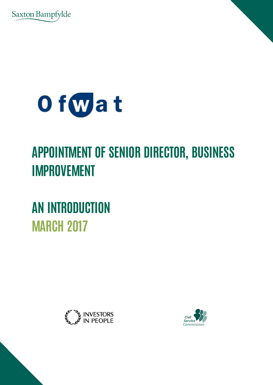



# **APPOINTMENT OF SENIOR DIRECTOR, BUSINESS IMPROVEMENT**

**AN INTRODUCTION MARCH 2017**



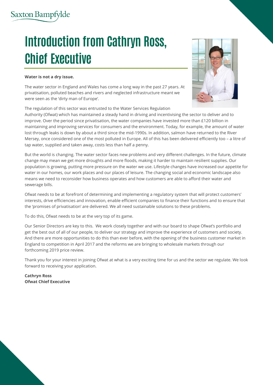# **Introduction from Cathryn Ross, Chief Executive**

#### **Water is not a dry issue.**

The water sector in England and Wales has come a long way in the past 27 years. At privatisation, polluted beaches and rivers and neglected infrastructure meant we were seen as the 'dirty man of Europe'.

The regulation of this sector was entrusted to the Water Services Regulation

Authority (Ofwat) which has maintained a steady hand in driving and incentivising the sector to deliver and to improve. Over the period since privatisation, the water companies have invested more than £120 billion in maintaining and improving services for consumers and the environment. Today, for example, the amount of water lost through leaks is down by about a third since the mid-1990s. In addition, salmon have returned to the River Mersey, once considered one of the most polluted in Europe. All of this has been delivered efficiently too – a litre of tap water, supplied and taken away, costs less than half a penny.

But the world is changing. The water sector faces new problems and very different challenges. In the future, climate change may mean we get more droughts and more floods, making it harder to maintain resilient supplies. Our population is growing, putting more pressure on the water we use. Lifestyle changes have increased our appetite for water in our homes, our work places and our places of leisure. The changing social and economic landscape also means we need to reconsider how business operates and how customers are able to afford their water and sewerage bills.

Ofwat needs to be at forefront of determining and implementing a regulatory system that will protect customers' interests, drive efficiencies and innovation, enable efficient companies to finance their functions and to ensure that the 'promises of privatisation' are delivered. We all need sustainable solutions to these problems.

To do this, Ofwat needs to be at the very top of its game.

Our Senior Directors are key to this. We work closely together and with our board to shape Ofwat's portfolio and get the best out of all of our people, to deliver our strategy and improve the experience of customers and society. And there are more opportunities to do this than ever before, with the opening of the business customer market in England to competition in April 2017 and the reforms we are bringing to wholesale markets through our forthcoming 2019 price review.

Thank you for your interest in joining Ofwat at what is a very exciting time for us and the sector we regulate. We look forward to receiving your application.

**Cathryn Ross Ofwat Chief Executive**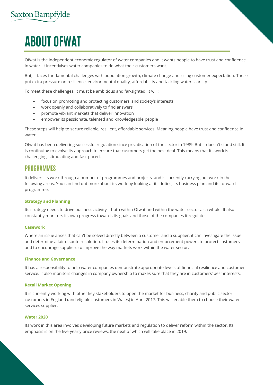# **ABOUT OFWAT**

Ofwat is the independent economic regulator of water companies and it wants people to have trust and confidence in water. It incentivises water companies to do what their customers want.

But, it faces fundamental challenges with population growth, climate change and rising customer expectation. These put extra pressure on resilience, environmental quality, affordability and tackling water scarcity.

To meet these challenges, it must be ambitious and far-sighted. It will:

- focus on promoting and protecting customers' and society's interests
- work openly and collaboratively to find answers
- promote vibrant markets that deliver innovation
- empower its passionate, talented and knowledgeable people

These steps will help to secure reliable, resilient, affordable services. Meaning people have trust and confidence in water.

Ofwat has been delivering successful regulation since privatisation of the sector in 1989. But it doesn't stand still. It is continuing to evolve its approach to ensure that customers get the best deal. This means that its work is challenging, stimulating and fast-paced.

### **PROGRAMMES**

It delivers its work through a number of programmes and projects, and is currently carrying out work in the following areas. You can find out more about its work by looking at its duties, its business plan and its forward programme.

#### **Strategy and Planning**

Its strategy needs to drive business activity – both within Ofwat and within the water sector as a whole. It also constantly monitors its own progress towards its goals and those of the companies it regulates.

#### **Casework**

Where an issue arises that can't be solved directly between a customer and a supplier, it can investigate the issue and determine a fair dispute resolution. It uses its determination and enforcement powers to protect customers and to encourage suppliers to improve the way markets work within the water sector.

#### **Finance and Governance**

It has a responsibility to help water companies demonstrate appropriate levels of financial resilience and customer service. It also monitors changes in company ownership to makes sure that they are in customers' best interests.

#### **Retail Market Opening**

It is currently working with other key stakeholders to open the market for business, charity and public sector customers in England (and eligible customers in Wales) in April 2017. This will enable them to choose their water services supplier.

#### **Water 2020**

Its work in this area involves developing future markets and regulation to deliver reform within the sector. Its emphasis is on the five-yearly price reviews, the next of which will take place in 2019.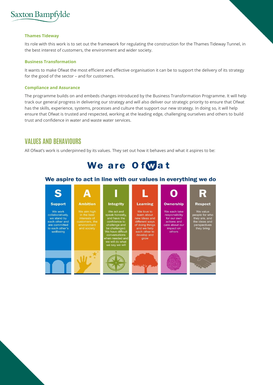

#### **Thames Tideway**

Its role with this work is to set out the framework for regulating the construction for the Thames Tideway Tunnel, in the best interest of customers, the environment and wider society.

#### **Business Transformation**

It wants to make Ofwat the most efficient and effective organisation it can be to support the delivery of its strategy for the good of the sector – and for customers.

#### **Compliance and Assurance**

The programme builds on and embeds changes introduced by the Business Transformation Programme. It will help track our general progress in delivering our strategy and will also deliver our strategic priority to ensure that Ofwat has the skills, experience, systems, processes and culture that support our new strategy. In doing so, it will help ensure that Ofwat is trusted and respected, working at the leading edge, challenging ourselves and others to build trust and confidence in water and waste water services.

### **VALUES AND BEHAVIOURS**

All Ofwat's work is underpinned by its values. They set out how it behaves and what it aspires to be:



#### We aspire to act in line with our values in everything we do

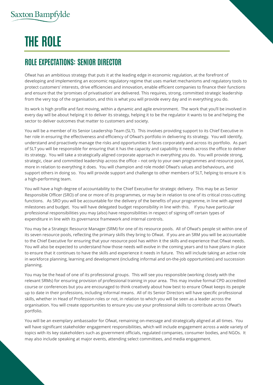# **THE ROLE**

## **ROLE EXPECTATIONS: SENIOR DIRECTOR**

Ofwat has an ambitious strategy that puts it at the leading edge in economic regulation, at the forefront of developing and implementing an economic regulatory regime that uses market mechanisms and regulatory tools to protect customers' interests, drive efficiencies and innovation, enable efficient companies to finance their functions and ensure that the 'promises of privatisation' are delivered. This requires, strong, committed strategic leadership from the very top of the organisation, and this is what you will provide every day and in everything you do.

Its work is high profile and fast moving, within a dynamic and agile environment. The work that you'll be involved in every day will be about helping it to deliver its strategy, helping it to be the regulator it wants to be and helping the sector to deliver outcomes that matter to customers and society.

You will be a member of its Senior Leadership Team (SLT). This involves providing support to its Chief Executive in her role in ensuring the effectiveness and efficiency of Ofwat's portfolio in delivering its strategy. You will identify, understand and proactively manage the risks and opportunities it faces corporately and across its portfolio. As part of SLT you will be responsible for ensuring that it has the capacity and capability it needs across the office to deliver its strategy. You will take a strategically aligned corporate approach in everything you do. You will provide strong, strategic, clear and committed leadership across the office – not only to your own programmes and resource pool, more in relation to everything it does. You will champion and role model Ofwat's values and behaviours, and support others in doing so. You will provide support and challenge to other members of SLT, helping to ensure it is a high-performing team.

You will have a high degree of accountability to the Chief Executive for strategic delivery. This may be as Senior Responsible Officer (SRO) of one or more of its programmes, or may be in relation to one of its critical cross-cutting functions. As SRO you will be accountable for the delivery of the benefits of your programme, in line with agreed milestones and budget. You will have delegated budget responsibility in line with this. If you have particular professional responsibilities you may (also) have responsibilities in respect of signing off certain types of expenditure in line with its governance framework and internal controls.

You may be a Strategic Resource Manager (SRM) for one of its resource pools. All of Ofwat's people sit within one of its seven resource pools, reflecting the primary skills they bring to Ofwat. If you are an SRM you will be accountable to the Chief Executive for ensuring that your resource pool has within it the skills and experience that Ofwat needs. You will also be expected to understand how those needs will evolve in the coming years and to have plans in place to ensure that it continues to have the skills and experience it needs in future. This will include taking an active role in workforce planning, learning and development (including informal and on-the-job opportunities) and succession planning.

You may be the head of one of its professional groups. This will see you responsible (working closely with the relevant SRMs) for ensuring provision of professional training in your area. This may involve formal CPD accredited course or conferences but you are encouraged to think creatively about how best to ensure Ofwat keeps its people up to date in their professions, including informal means. All of its Senior Directors will have specific professional skills, whether in Head of Profession roles or not, in relation to which you will be seen as a leader across the organisation. You will create opportunities to ensure you use your professional skills to contribute across Ofwat's portfolio.

You will be an exemplary ambassador for Ofwat, remaining on-message and strategically aligned at all times. You will have significant stakeholder engagement responsibilities, which will include engagement across a wide variety of topics with its key stakeholders such as government officials, regulated companies, consumer bodies, and NGOs. It may also include speaking at major events, attending select committees, and media engagement.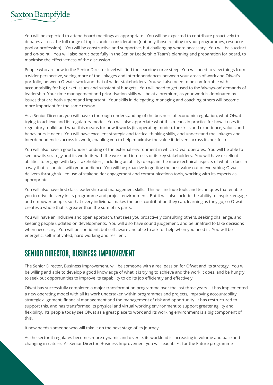You will be expected to attend board meetings as appropriate. You will be expected to contribute proactively to debates across the full range of topics under consideration (not only those relating to your programmes, resource pool or profession). You will be constructive and supportive, but challenging where necessary. You will be succinct and on-point. You will also participate fully in the Senior Leadership Team's planning and preparation for board, to maximise the effectiveness of the discussion.

People who are new to the Senior Director level will find the learning curve steep. You will need to view things from a wider perspective, seeing more of the linkages and interdependences between your areas of work and Ofwat's portfolio, between Ofwat's work and that of wider stakeholders. You will also need to be comfortable with accountability for big ticket issues and substantial budgets. You will need to get used to the 'always-on' demands of leadership. Your time management and prioritisation skills will be at a premium, as your work is dominated by issues that are both urgent and important. Your skills in delegating, managing and coaching others will become more important for the same reason.

As a Senior Director, you will have a thorough understanding of the business of economic regulation, what Ofwat trying to achieve and its regulatory model. You will also appreciate what this means in practice for how it uses its regulatory toolkit and what this means for how it works (its operating model), the skills and experience, values and behaviours it needs. You will have excellent strategic and tactical thinking skills, and understand the linkages and interdependencies across its work, enabling you to help maximise the value it delivers across its portfolio.

You will also have a good understanding of the external environment in which Ofwat operates. You will be able to see how its strategy and its work fits with the work and interests of its key stakeholders. You will have excellent abilities to engage with key stakeholders, including an ability to explain the more technical aspects of what it does in a way that resonates with your audience. You will be proactive in getting the best value out of everything Ofwat delivers through skilled use of stakeholder engagement and communications tools, working with its experts as appropriate.

You will also have first class leadership and management skills. This will include tools and techniques that enable you to drive delivery in its programme and project environment. But it will also include the ability to inspire, engage and empower people, so that every individual makes the best contribution they can, learning as they go, so Ofwat creates a whole that is greater than the sum of its parts.

You will have an inclusive and open approach, that sees you proactively consulting others, seeking challenge, and keeping people updated on developments. You will also have sound judgement, and be unafraid to take decisions when necessary. You will be confident, but self-aware and able to ask for help when you need it. You will be energetic, self-motivated, hard-working and resilient.

### **SENIOR DIRECTOR, BUSINESS IMPROVEMENT**

The Senior Director, Business Improvement, will be someone with a real passion for Ofwat and its strategy. You will be willing and able to develop a good knowledge of what it is trying to achieve and the work it does, and be hungry to seek out opportunities to improve its capability to do its job efficiently and effectively.

Ofwat has successfully completed a major transformation programme over the last three years. It has implemented a new operating model with all its work undertaken within programmes and projects, improving accountability, strategic alignment, financial management and the management of risk and opportunity. It has restructured to support this, and has transformed its physical and virtual working environment to support greater agility and flexibility. Its people today see Ofwat as a great place to work and its working environment is a big component of this.

It now needs someone who will take it on the next stage of its journey.

As the sector it regulates becomes more dynamic and diverse, its workload is increasing in volume and pace and changing in nature. As Senior Director, Business Improvement you will lead its Fit for the Future programme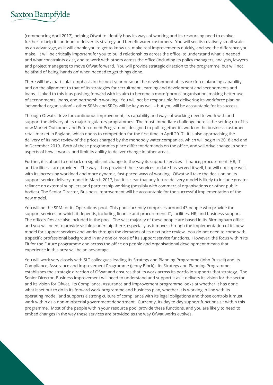(commencing April 2017), helping Ofwat to identify how its ways of working and its resourcing need to evolve further to help it continue to deliver its strategy and benefit water customers. You will see its relatively small scale as an advantage, as it will enable you to get to know us, make real improvements quickly, and see the difference you make. It will be critically important for you to build relationships across the office, to understand what is needed and what constraints exist, and to work with others across the office (including its policy managers, analysts, lawyers and project managers) to move Ofwat forward. You will provide strategic direction to the programme, but will not be afraid of being 'hands on' when needed to get things done.

There will be a particular emphasis in the next year or so on the development of its workforce planning capability, and on the alignment to that of its strategies for recruitment, learning and development and secondments and loans. Linked to this it as pushing forward with its aim to become a more 'porous' organisation, making better use of secondments, loans, and partnership working. You will not be responsible for delivering its workforce plan or 'networked organisation' – other SRMs and SROs will be key as well – but you will be accountable for its success.

Through Ofwat's drive for continuous improvement, its capability and ways of working need to work with and support the delivery of its major regulatory programmes. The most immediate challenge here is the setting up of its new Market Outcomes and Enforcement Programme, designed to pull together its work on the business customer retail market in England, which opens to competition for the first time in April 2017. It is also approaching the delivery of its next review of the prices charged by the monopoly water companies, which will begin in 2018 and end in December 2019. Both of these programmes place different demands on the office, and will drive change in some aspects of how it works, and limit its ability to deliver change in other areas.

Further, it is about to embark on significant change to the way its support services – finance, procurement, HR, IT and facilities – are provided. The way it has provided these services to date has served it well, but will not cope well with its increasing workload and more dynamic, fast-paced ways of working. Ofwat will take the decision on its support service delivery model in March 2017, but it is clear that any future delivery model is likely to include greater reliance on external suppliers and partnership working (possibly with commercial organisations or other public bodies). The Senior Director, Business Improvement will be accountable for the successful implementation of the new model.

You will be the SRM for its Operations pool. This pool currently comprises around 43 people who provide the support services on which it depends, including finance and procurement, IT, facilities, HR, and business support. The office's PAs are also included in the pool. The vast majority of these people are based in its Birmingham office, and you will need to provide visible leadership there, especially as it moves through the implementation of its new model for support services and works through the demands of its next price review. You do not need to come with a specific professional background in any one or more of its support service functions. However, the focus within its Fit for the Future programme and across the office on people and organisational development means that experience in this area will be an advantage.

You will work very closely with SLT colleagues leading its Strategy and Planning Programme (John Russell) and its Compliance, Assurance and Improvement Programme (Jenny Block). Its Strategy and Planning Programme establishes the strategic direction of Ofwat and ensures that its work across its portfolio supports that strategy. The Senior Director, Business Improvement will need to understand and support it as it delivers its vision for the sector and its vision for Ofwat. Its Compliance, Assurance and Improvement programme looks at whether it has done what it set out to do in its forward work programme and business plan, whether it is working in line with its operating model, and supports a strong culture of compliance with its legal obligations and those controls it must work within as a non-ministerial government department. Currently, its day to day support functions sit within this programme. Most of the people within your resource pool provide these functions, and you are likely to need to embed changes in the way these services are provided as the way Ofwat works evolves.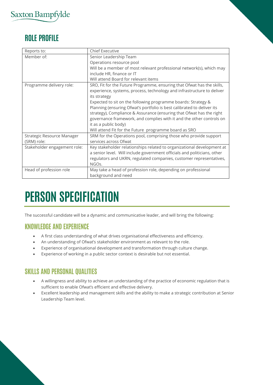## **ROLE PROFILE**

| Reports to:                  | <b>Chief Executive</b>                                                   |
|------------------------------|--------------------------------------------------------------------------|
| Member of:                   | Senior Leadership Team                                                   |
|                              | Operations resource pool                                                 |
|                              | Will be a member of most relevant professional network(s), which may     |
|                              | include HR, finance or IT                                                |
|                              | Will attend Board for relevant items                                     |
| Programme delivery role:     | SRO, Fit for the Future Programme, ensuring that Ofwat has the skills,   |
|                              | experience, systems, process, technology and infrastructure to deliver   |
|                              | its strategy                                                             |
|                              | Expected to sit on the following programme boards: Strategy &            |
|                              | Planning (ensuring Ofwat's portfolio is best calibrated to deliver its   |
|                              | strategy), Compliance & Assurance (ensuring that Ofwat has the right     |
|                              | governance framework, and complies with it and the other controls on     |
|                              | it as a public body)                                                     |
|                              | Will attend Fit for the Future programme board as SRO                    |
| Strategic Resource Manager   | SRM for the Operations pool, comprising those who provide support        |
| (SRM) role:                  | services across Ofwat                                                    |
| Stakeholder engagement role: | Key stakeholder relationships related to organizational development at   |
|                              | a senior level. Will include government officials and politicians, other |
|                              | regulators and UKRN, regulated companies, customer representatives,      |
|                              | NGO <sub>s</sub> .                                                       |
| Head of profession role      | May take a head of profession role, depending on professional            |
|                              | background and need                                                      |

# **PERSON SPECIFICATION**

The successful candidate will be a dynamic and communicative leader, and will bring the following:

### **KNOWLEDGE AND EXPERIENCE**

- A first class understanding of what drives organisational effectiveness and efficiency.
- An understanding of Ofwat's stakeholder environment as relevant to the role.
- Experience of organisational development and transformation through culture change.
- Experience of working in a public sector context is desirable but not essential.

### **SKILLS AND PERSONAL QUALITIES**

- A willingness and ability to achieve an understanding of the practice of economic regulation that is sufficient to enable Ofwat's efficient and effective delivery.
- Excellent leadership and management skills and the ability to make a strategic contribution at Senior Leadership Team level.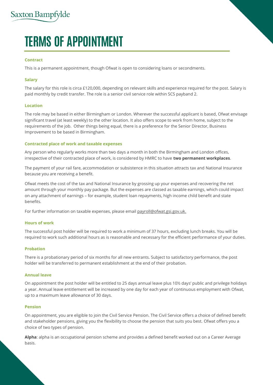# **TERMS OF APPOINTMENT**

#### **Contract**

This is a permanent appointment, though Ofwat is open to considering loans or secondments.

#### **Salary**

The salary for this role is circa £120,000, depending on relevant skills and experience required for the post. Salary is paid monthly by credit transfer. The role is a senior civil service role within SCS payband 2.

#### **Location**

The role may be based in either Birmingham or London. Wherever the successful applicant is based, Ofwat envisage significant travel (at least weekly) to the other location. It also offers scope to work from home, subject to the requirements of the job. Other things being equal, there is a preference for the Senior Director, Business Improvement to be based in Birmingham.

#### **Contracted place of work and taxable expenses**

Any person who regularly works more than two days a month in both the Birmingham and London offices, irrespective of their contracted place of work, is considered by HMRC to have **two permanent workplaces**.

The payment of your rail fare, accommodation or subsistence in this situation attracts tax and National Insurance because you are receiving a benefit.

Ofwat meets the cost of the tax and National Insurance by grossing up your expenses and recovering the net amount through your monthly pay package. But the expenses are classed as taxable earnings, which could impact on any attachment of earnings – for example, student loan repayments, high income child benefit and state benefits.

For further information on taxable expenses, please emai[l payroll@ofwat.gsi.gov.uk.](mailto:payroll@ofwat.gsi.gov.uk)

#### **Hours of work**

The successful post holder will be required to work a minimum of 37 hours, excluding lunch breaks. You will be required to work such additional hours as is reasonable and necessary for the efficient performance of your duties.

#### **Probation**

There is a probationary period of six months for all new entrants. Subject to satisfactory performance, the post holder will be transferred to permanent establishment at the end of their probation.

#### **Annual leave**

On appointment the post holder will be entitled to 25 days annual leave plus 10½ days' public and privilege holidays a year. Annual leave entitlement will be increased by one day for each year of continuous employment with Ofwat, up to a maximum leave allowance of 30 days.

#### **Pension**

On appointment, you are eligible to join the Civil Service Pension. The Civil Service offers a choice of defined benefit and stakeholder pensions, giving you the flexibility to choose the pension that suits you best. Ofwat offers you a choice of two types of pension.

**Alpha**: alpha is an occupational pension scheme and provides a defined benefit worked out on a Career Average basis.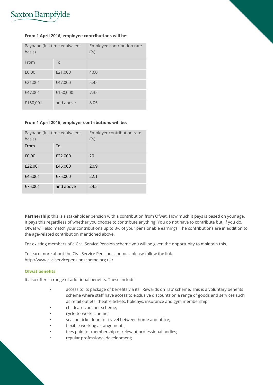

#### **From 1 April 2016, employee contributions will be:**

| Payband (full-time equivalent<br>basis) |           | Employee contribution rate<br>(% ) |
|-----------------------------------------|-----------|------------------------------------|
| From                                    | To        |                                    |
| £0.00                                   | £21,000   | 4.60                               |
| £21,001                                 | £47,000   | 5.45                               |
| £47,001                                 | £150,000  | 7.35                               |
| £150,001                                | and above | 8.05                               |

#### **From 1 April 2016, employer contributions will be:**

| Payband (full-time equivalent<br>basis) |           | Employer contribution rate<br>(% ) |
|-----------------------------------------|-----------|------------------------------------|
| From                                    | To        |                                    |
| £0.00                                   | £22,000   | 20                                 |
| £22,001                                 | £45,000   | 20.9                               |
| £45,001                                 | £75,000   | 22.1                               |
| £75,001                                 | and above | 24.5                               |

**Partnership**: this is a stakeholder pension with a contribution from Ofwat. How much it pays is based on your age. It pays this regardless of whether you choose to contribute anything. You do not have to contribute but, if you do, Ofwat will also match your contributions up to 3% of your pensionable earnings. The contributions are in addition to the age-related contribution mentioned above.

For existing members of a Civil Service Pension scheme you will be given the opportunity to maintain this.

To learn more about the Civil Service Pension schemes, please follow the link http://www.civilservicepensionscheme.org.uk/

#### **Ofwat benefits**

It also offers a range of additional benefits. These include:

- access to its package of benefits via its 'Rewards on Tap' scheme. This is a voluntary benefits scheme where staff have access to exclusive discounts on a range of goods and services such as retail outlets, theatre tickets, holidays, insurance and gym membership;
- childcare voucher scheme;
- cycle-to-work scheme;
- season ticket loan for travel between home and office;
- flexible working arrangements;
- fees paid for membership of relevant professional bodies;
- regular professional development;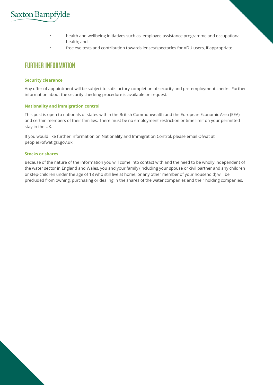- health and wellbeing initiatives such as, employee assistance programme and occupational health; and
- free eye tests and contribution towards lenses/spectacles for VDU users, if appropriate.

### **FURTHER INFORMATION**

#### **Security clearance**

Any offer of appointment will be subject to satisfactory completion of security and pre-employment checks. Further information about the security checking procedure is available on request.

#### **Nationality and immigration control**

This post is open to nationals of states within the British Commonwealth and the European Economic Area (EEA) and certain members of their families. There must be no employment restriction or time limit on your permitted stay in the UK.

If you would like further information on Nationality and Immigration Control, please email Ofwat at people@ofwat.gsi.gov.uk.

#### **Stocks or shares**

Because of the nature of the information you will come into contact with and the need to be wholly independent of the water sector in England and Wales, you and your family (including your spouse or civil partner and any children or step-children under the age of 18 who still live at home, or any other member of your household) will be precluded from owning, purchasing or dealing in the shares of the water companies and their holding companies.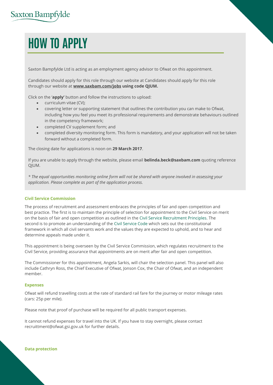# **HOW TO APPLY**

Saxton Bampfylde Ltd is acting as an employment agency advisor to Ofwat on this appointment.

Candidates should apply for this role through our website at Candidates should apply for this role through our website at **www.saxbam.com/jobs using code QJUM.**

Click on the '**apply'** button and follow the instructions to upload:

- curriculum vitae (CV);
- covering letter or supporting statement that outlines the contribution you can make to Ofwat, including how you feel you meet its professional requirements and demonstrate behaviours outlined in the competency framework;
- completed CV supplement form; and
- completed diversity monitoring form. This form is mandatory, and your application will not be taken forward without a completed form.

The closing date for applications is noon on **29 March 2017**.

If you are unable to apply through the website, please email **belinda.beck@saxbam.com** quoting reference QJUM.

*\* The equal opportunities monitoring online form will not be shared with anyone involved in assessing your application. Please complete as part of the application process.*

#### **Civil Service Commission**

The process of recruitment and assessment embraces the principles of fair and open competition and best practice. The first is to maintain the principle of selection for appointment to the Civil Service on merit on the basis of fair and open competition as outlined in the Civil Service Recruitment Principles. The second is to promote an understanding of the Civil Service Code which sets out the constitutional framework in which all civil servants work and the values they are expected to uphold, and to hear and determine appeals made under it.

This appointment is being overseen by the Civil Service Commission, which regulates recruitment to the Civil Service, providing assurance that appointments are on merit after fair and open competition.

The Commissioner for this appointment, Angela Sarkis, will chair the selection panel. This panel will also include Cathryn Ross, the Chief Executive of Ofwat, Jonson Cox, the Chair of Ofwat, and an independent member.

#### **Expenses**

Ofwat will refund travelling costs at the rate of standard rail fare for the journey or motor mileage rates (cars: 25p per mile).

Please note that proof of purchase will be required for all public transport expenses.

It cannot refund expenses for travel into the UK. If you have to stay overnight, please contact recruittment@ofwat.gsi.gov.uk for further details.

**Data protection**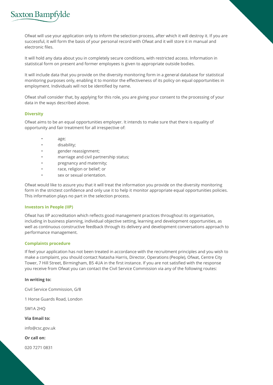

Ofwat will use your application only to inform the selection process, after which it will destroy it. If you are successful, it will form the basis of your personal record with Ofwat and it will store it in manual and electronic files.

It will hold any data about you in completely secure conditions, with restricted access. Information in statistical form on present and former employees is given to appropriate outside bodies.

It will include data that you provide on the diversity monitoring form in a general database for statistical monitoring purposes only, enabling it to monitor the effectiveness of its policy on equal opportunities in employment. Individuals will not be identified by name.

Ofwat shall consider that, by applying for this role, you are giving your consent to the processing of your data in the ways described above.

#### **Diversity**

Ofwat aims to be an equal opportunities employer. It intends to make sure that there is equality of opportunity and fair treatment for all irrespective of:

- age;
- disability;
- gender reassignment;
- marriage and civil partnership status;
- pregnancy and maternity;
- race, religion or belief; or
- sex or sexual orientation.

Ofwat would like to assure you that it will treat the information you provide on the diversity monitoring form in the strictest confidence and only use it to help it monitor appropriate equal opportunities policies. This information plays no part in the selection process.

#### **Investors in People (IIP)**

Ofwat has IIP accreditation which reflects good management practices throughout its organisation, including in business planning, individual objective setting, learning and development opportunities, as well as continuous constructive feedback through its delivery and development conversations approach to performance management.

#### **Complaints procedure**

If feel your application has not been treated in accordance with the recruitment principles and you wish to make a complaint, you should contact Natasha Harris, Director, Operations (People), Ofwat, Centre City Tower, 7 Hill Street, Birmingham, B5 4UA in the first instance. If you are not satisfied with the response you receive from Ofwat you can contact the Civil Service Commission via any of the following routes:

#### **In writing to:**

Civil Service Commission, G/8

1 Horse Guards Road, London

SW1A 2HQ

**Via Email to:**

info@csc.gov.uk

**Or call on:**

020 7271 0831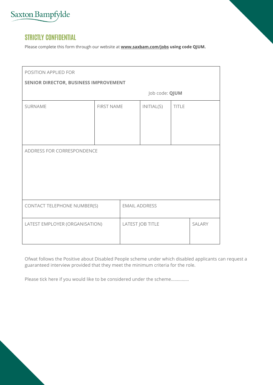

### **STRICTLY CONFIDENTIAL**

Please complete this form through our website at **www.saxbam.com/jobs using code QJUM.**

| POSITION APPLIED FOR                  |                   |                      |                  |              |               |
|---------------------------------------|-------------------|----------------------|------------------|--------------|---------------|
| SENIOR DIRECTOR, BUSINESS IMPROVEMENT |                   |                      |                  |              |               |
|                                       |                   |                      | Job code: QJUM   |              |               |
| SURNAME                               | <b>FIRST NAME</b> |                      | INTIAL(S)        | <b>TITLE</b> |               |
|                                       |                   |                      |                  |              |               |
|                                       |                   |                      |                  |              |               |
|                                       |                   |                      |                  |              |               |
| ADDRESS FOR CORRESPONDENCE            |                   |                      |                  |              |               |
|                                       |                   |                      |                  |              |               |
|                                       |                   |                      |                  |              |               |
|                                       |                   |                      |                  |              |               |
|                                       |                   |                      |                  |              |               |
| CONTACT TELEPHONE NUMBER(S)           |                   | <b>EMAIL ADDRESS</b> |                  |              |               |
|                                       |                   |                      |                  |              |               |
| LATEST EMPLOYER (ORGANISATION)        |                   |                      | LATEST JOB TITLE |              | <b>SALARY</b> |
|                                       |                   |                      |                  |              |               |

Ofwat follows the Positive about Disabled People scheme under which disabled applicants can request a guaranteed interview provided that they meet the minimum criteria for the role.

Please tick here if you would like to be considered under the scheme……………